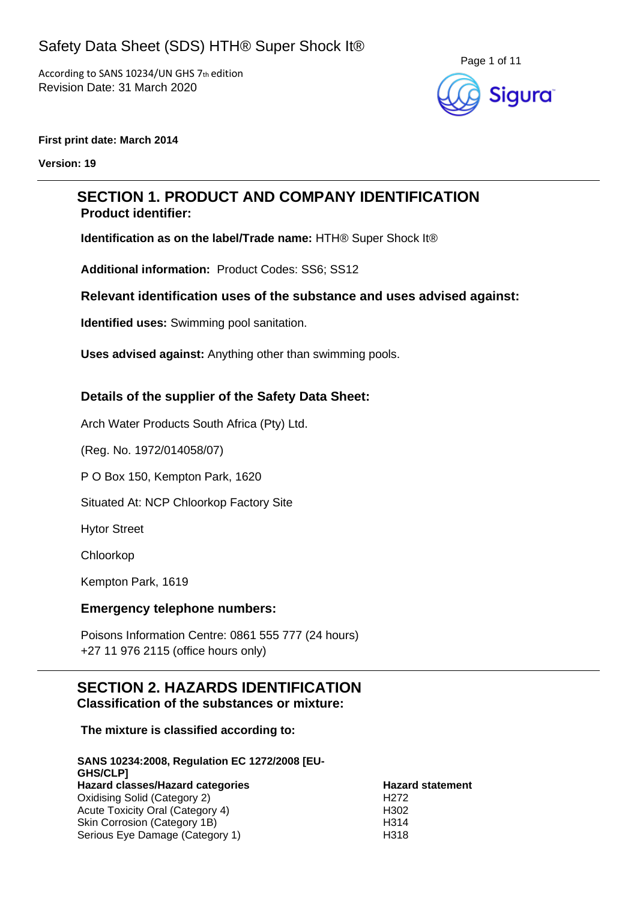

#### **First print date: March 2014**

**Version: 19**

## **SECTION 1. PRODUCT AND COMPANY IDENTIFICATION Product identifier:**

**Identification as on the label/Trade name:** HTH® Super Shock It®

**Additional information:** Product Codes: SS6; SS12

#### **Relevant identification uses of the substance and uses advised against:**

**Identified uses:** Swimming pool sanitation.

**Uses advised against:** Anything other than swimming pools.

#### **Details of the supplier of the Safety Data Sheet:**

Arch Water Products South Africa (Pty) Ltd.

(Reg. No. 1972/014058/07)

P O Box 150, Kempton Park, 1620

Situated At: NCP Chloorkop Factory Site

Hytor Street

Chloorkop

Kempton Park, 1619

#### **Emergency telephone numbers:**

Poisons Information Centre: 0861 555 777 (24 hours) +27 11 976 2115 (office hours only)

#### **SECTION 2. HAZARDS IDENTIFICATION Classification of the substances or mixture:**

**The mixture is classified according to:**

| SANS 10234:2008, Regulation EC 1272/2008 [EU- |                         |
|-----------------------------------------------|-------------------------|
| <b>GHS/CLPI</b>                               |                         |
| Hazard classes/Hazard categories              | <b>Hazard statement</b> |
| Oxidising Solid (Category 2)                  | H <sub>272</sub>        |
| Acute Toxicity Oral (Category 4)              | H <sub>302</sub>        |
| Skin Corrosion (Category 1B)                  | H <sub>314</sub>        |
| Serious Eye Damage (Category 1)               | H318                    |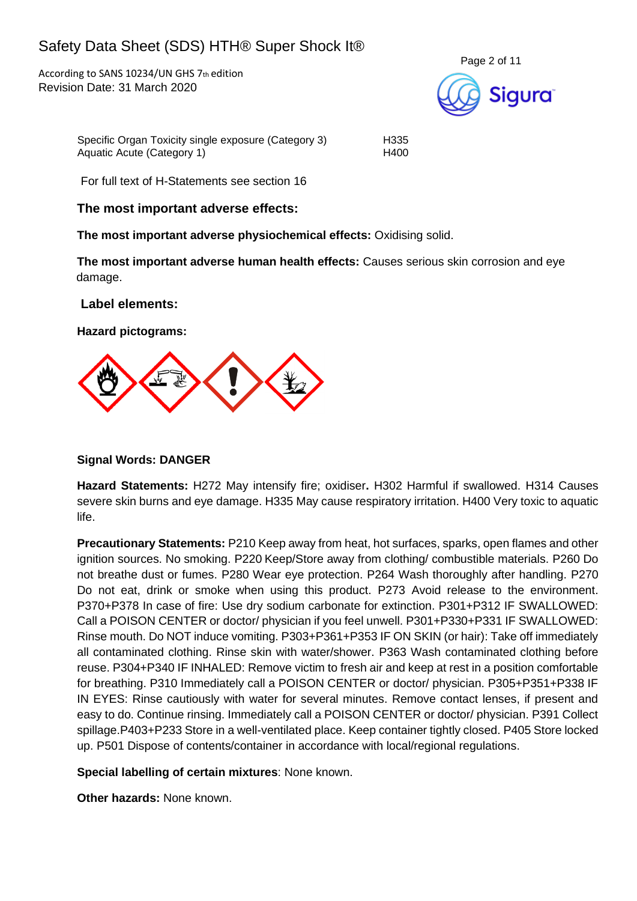According to SANS 10234/UN GHS 7th edition Revision Date: 31 March 2020



Specific Organ Toxicity single exposure (Category 3) H335 Aquatic Acute (Category 1) H400

For full text of H-Statements see section 16

#### **The most important adverse effects:**

**The most important adverse physiochemical effects:** Oxidising solid.

**The most important adverse human health effects:** Causes serious skin corrosion and eye damage.

**Label elements:**

**Hazard pictograms:**



#### **Signal Words: DANGER**

**Hazard Statements:** H272 May intensify fire; oxidiser**.** H302 Harmful if swallowed. H314 Causes severe skin burns and eye damage. H335 May cause respiratory irritation. H400 Very toxic to aquatic life.

**Precautionary Statements:** P210 Keep away from heat, hot surfaces, sparks, open flames and other ignition sources. No smoking. P220 Keep/Store away from clothing/ combustible materials. P260 Do not breathe dust or fumes. P280 Wear eye protection. P264 Wash thoroughly after handling. P270 Do not eat, drink or smoke when using this product. P273 Avoid release to the environment. P370+P378 In case of fire: Use dry sodium carbonate for extinction. P301+P312 IF SWALLOWED: Call a POISON CENTER or doctor/ physician if you feel unwell. P301+P330+P331 IF SWALLOWED: Rinse mouth. Do NOT induce vomiting. P303+P361+P353 IF ON SKIN (or hair): Take off immediately all contaminated clothing. Rinse skin with water/shower. P363 Wash contaminated clothing before reuse. P304+P340 IF INHALED: Remove victim to fresh air and keep at rest in a position comfortable for breathing. P310 Immediately call a POISON CENTER or doctor/ physician. P305+P351+P338 IF IN EYES: Rinse cautiously with water for several minutes. Remove contact lenses, if present and easy to do. Continue rinsing. Immediately call a POISON CENTER or doctor/ physician. P391 Collect spillage.P403+P233 Store in a well-ventilated place. Keep container tightly closed. P405 Store locked up. P501 Dispose of contents/container in accordance with local/regional regulations.

**Special labelling of certain mixtures**: None known.

**Other hazards:** None known.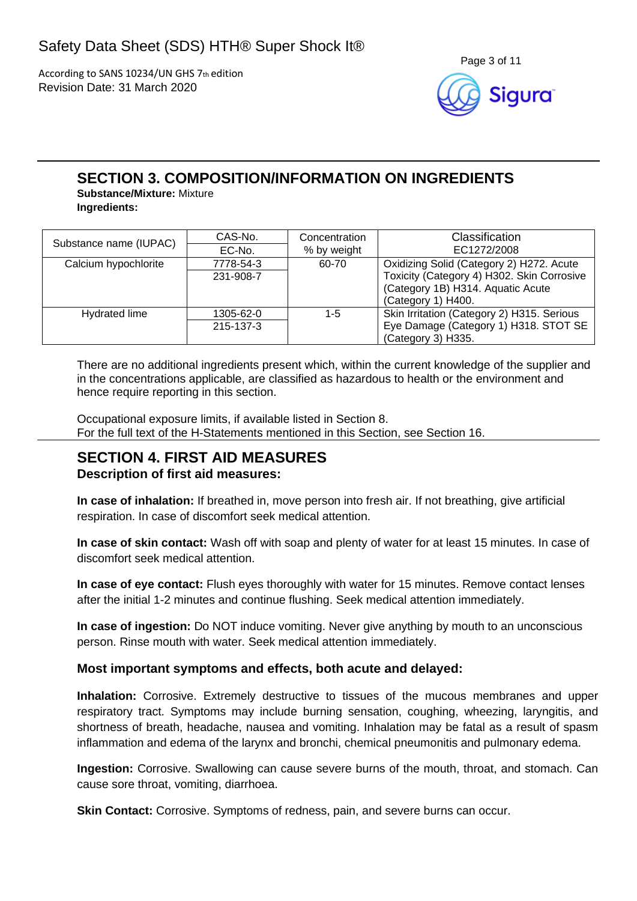

## **SECTION 3. COMPOSITION/INFORMATION ON INGREDIENTS**

**Substance/Mixture:** Mixture **Ingredients:**

| Substance name (IUPAC) | CAS-No.   | Concentration | Classification                             |  |
|------------------------|-----------|---------------|--------------------------------------------|--|
|                        | EC-No.    | % by weight   | EC1272/2008                                |  |
| Calcium hypochlorite   | 7778-54-3 | 60-70         | Oxidizing Solid (Category 2) H272. Acute   |  |
|                        | 231-908-7 |               | Toxicity (Category 4) H302. Skin Corrosive |  |
|                        |           |               | (Category 1B) H314. Aquatic Acute          |  |
|                        |           |               | (Category 1) H400.                         |  |
| Hydrated lime          | 1305-62-0 | 1-5           | Skin Irritation (Category 2) H315. Serious |  |
|                        | 215-137-3 |               | Eye Damage (Category 1) H318. STOT SE      |  |
|                        |           |               | (Category 3) H335.                         |  |

There are no additional ingredients present which, within the current knowledge of the supplier and in the concentrations applicable, are classified as hazardous to health or the environment and hence require reporting in this section.

Occupational exposure limits, if available listed in Section 8. For the full text of the H-Statements mentioned in this Section, see Section 16.

# **SECTION 4. FIRST AID MEASURES**

#### **Description of first aid measures:**

**In case of inhalation:** If breathed in, move person into fresh air. If not breathing, give artificial respiration. In case of discomfort seek medical attention.

**In case of skin contact:** Wash off with soap and plenty of water for at least 15 minutes. In case of discomfort seek medical attention.

**In case of eye contact:** Flush eyes thoroughly with water for 15 minutes. Remove contact lenses after the initial 1-2 minutes and continue flushing. Seek medical attention immediately.

**In case of ingestion:** Do NOT induce vomiting. Never give anything by mouth to an unconscious person. Rinse mouth with water. Seek medical attention immediately.

#### **Most important symptoms and effects, both acute and delayed:**

**Inhalation:** Corrosive. Extremely destructive to tissues of the mucous membranes and upper respiratory tract. Symptoms may include burning sensation, coughing, wheezing, laryngitis, and shortness of breath, headache, nausea and vomiting. Inhalation may be fatal as a result of spasm inflammation and edema of the larynx and bronchi, chemical pneumonitis and pulmonary edema.

**Ingestion:** Corrosive. Swallowing can cause severe burns of the mouth, throat, and stomach. Can cause sore throat, vomiting, diarrhoea.

**Skin Contact:** Corrosive. Symptoms of redness, pain, and severe burns can occur.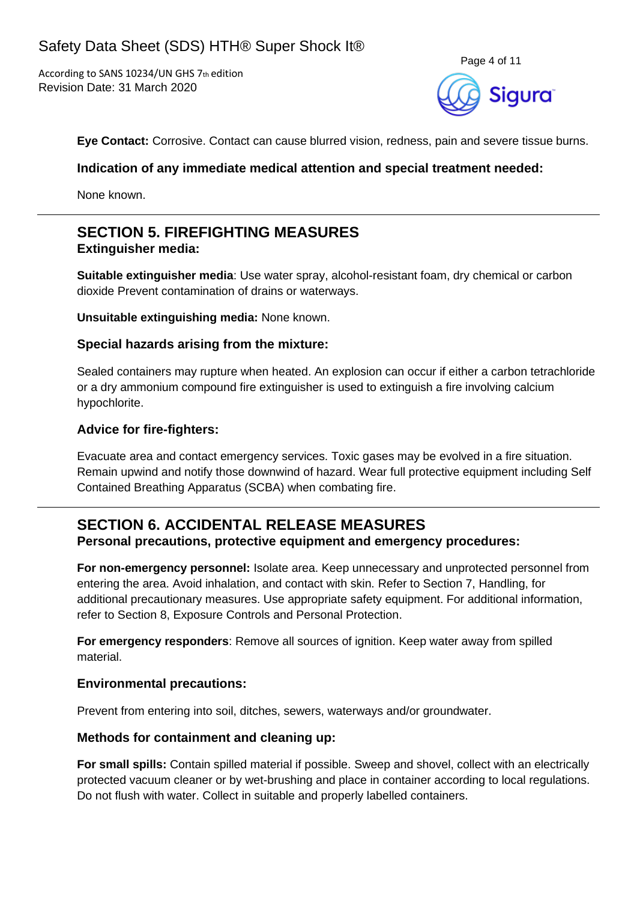

**Eye Contact:** Corrosive. Contact can cause blurred vision, redness, pain and severe tissue burns.

#### **Indication of any immediate medical attention and special treatment needed:**

None known.

## **SECTION 5. FIREFIGHTING MEASURES Extinguisher media:**

**Suitable extinguisher media**: Use water spray, alcohol-resistant foam, dry chemical or carbon dioxide Prevent contamination of drains or waterways.

**Unsuitable extinguishing media:** None known.

#### **Special hazards arising from the mixture:**

Sealed containers may rupture when heated. An explosion can occur if either a carbon tetrachloride or a dry ammonium compound fire extinguisher is used to extinguish a fire involving calcium hypochlorite.

#### **Advice for fire-fighters:**

Evacuate area and contact emergency services. Toxic gases may be evolved in a fire situation. Remain upwind and notify those downwind of hazard. Wear full protective equipment including Self Contained Breathing Apparatus (SCBA) when combating fire.

### **SECTION 6. ACCIDENTAL RELEASE MEASURES Personal precautions, protective equipment and emergency procedures:**

**For non-emergency personnel:** Isolate area. Keep unnecessary and unprotected personnel from entering the area. Avoid inhalation, and contact with skin. Refer to Section 7, Handling, for additional precautionary measures. Use appropriate safety equipment. For additional information, refer to Section 8, Exposure Controls and Personal Protection.

**For emergency responders**: Remove all sources of ignition. Keep water away from spilled material.

#### **Environmental precautions:**

Prevent from entering into soil, ditches, sewers, waterways and/or groundwater.

#### **Methods for containment and cleaning up:**

**For small spills:** Contain spilled material if possible. Sweep and shovel, collect with an electrically protected vacuum cleaner or by wet-brushing and place in container according to local regulations. Do not flush with water. Collect in suitable and properly labelled containers.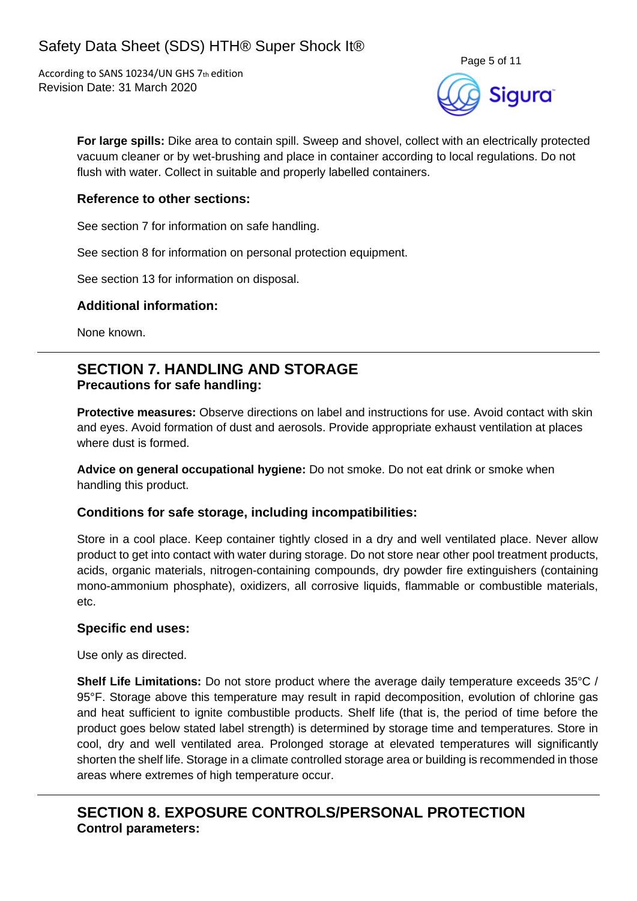

**For large spills:** Dike area to contain spill. Sweep and shovel, collect with an electrically protected vacuum cleaner or by wet-brushing and place in container according to local regulations. Do not flush with water. Collect in suitable and properly labelled containers.

#### **Reference to other sections:**

See section 7 for information on safe handling.

See section 8 for information on personal protection equipment.

See section 13 for information on disposal.

#### **Additional information:**

None known.

## **SECTION 7. HANDLING AND STORAGE Precautions for safe handling:**

**Protective measures:** Observe directions on label and instructions for use. Avoid contact with skin and eyes. Avoid formation of dust and aerosols. Provide appropriate exhaust ventilation at places where dust is formed.

**Advice on general occupational hygiene:** Do not smoke. Do not eat drink or smoke when handling this product.

#### **Conditions for safe storage, including incompatibilities:**

Store in a cool place. Keep container tightly closed in a dry and well ventilated place. Never allow product to get into contact with water during storage. Do not store near other pool treatment products, acids, organic materials, nitrogen-containing compounds, dry powder fire extinguishers (containing mono-ammonium phosphate), oxidizers, all corrosive liquids, flammable or combustible materials, etc.

#### **Specific end uses:**

Use only as directed.

**Shelf Life Limitations:** Do not store product where the average daily temperature exceeds 35°C / 95°F. Storage above this temperature may result in rapid decomposition, evolution of chlorine gas and heat sufficient to ignite combustible products. Shelf life (that is, the period of time before the product goes below stated label strength) is determined by storage time and temperatures. Store in cool, dry and well ventilated area. Prolonged storage at elevated temperatures will significantly shorten the shelf life. Storage in a climate controlled storage area or building is recommended in those areas where extremes of high temperature occur.

## **SECTION 8. EXPOSURE CONTROLS/PERSONAL PROTECTION Control parameters:**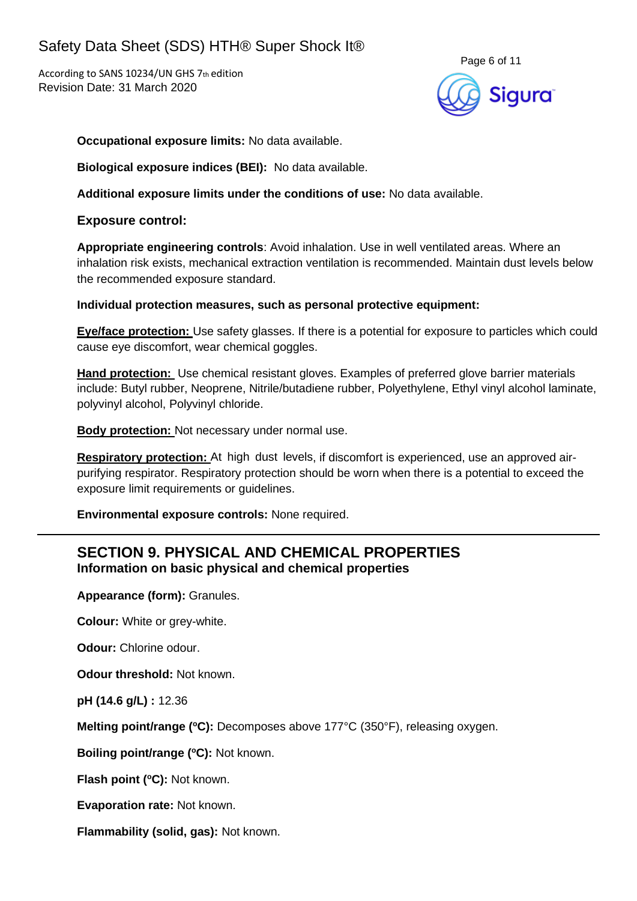

**Occupational exposure limits:** No data available.

**Biological exposure indices (BEI):** No data available.

**Additional exposure limits under the conditions of use:** No data available.

**Exposure control:**

**Appropriate engineering controls**: Avoid inhalation. Use in well ventilated areas. Where an inhalation risk exists, mechanical extraction ventilation is recommended. Maintain dust levels below the recommended exposure standard.

**Individual protection measures, such as personal protective equipment:**

**Eye/face protection:** Use safety glasses. If there is a potential for exposure to particles which could cause eye discomfort, wear chemical goggles.

**Hand protection:** Use chemical resistant gloves. Examples of preferred glove barrier materials include: Butyl rubber, Neoprene, Nitrile/butadiene rubber, Polyethylene, Ethyl vinyl alcohol laminate, polyvinyl alcohol, Polyvinyl chloride.

**Body protection:** Not necessary under normal use.

**Respiratory protection:** At high dust levels, if discomfort is experienced, use an approved airpurifying respirator. Respiratory protection should be worn when there is a potential to exceed the exposure limit requirements or guidelines.

**Environmental exposure controls:** None required.

## **SECTION 9. PHYSICAL AND CHEMICAL PROPERTIES Information on basic physical and chemical properties**

**Appearance (form):** Granules.

**Colour:** White or grey-white.

**Odour: Chlorine odour.** 

**Odour threshold:** Not known.

**pH (14.6 g/L) :** 12.36

**Melting point/range (°C):** Decomposes above 177°C (350°F), releasing oxygen.

**Boiling point/range (<sup>o</sup>C):** Not known.

**Flash point (<sup>o</sup>C):** Not known.

**Evaporation rate:** Not known.

**Flammability (solid, gas):** Not known.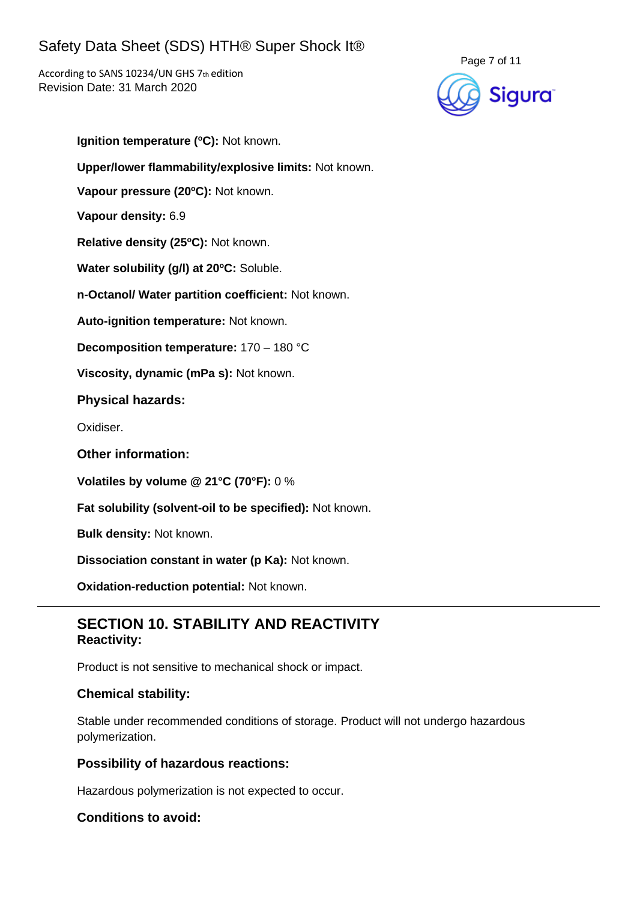According to SANS 10234/UN GHS 7th edition Revision Date: 31 March 2020



**Ignition temperature (°C):** Not known. **Upper/lower flammability/explosive limits:** Not known. **Vapour pressure (20<sup>o</sup>C):** Not known. **Vapour density:** 6.9 **Relative density (25 <sup>o</sup>C):** Not known. **Water solubility (g/l) at 20<sup>o</sup>C:** Soluble. **n-Octanol/ Water partition coefficient:** Not known. **Auto-ignition temperature:** Not known. **Decomposition temperature:** 170 – 180 °C **Viscosity, dynamic (mPa s):** Not known. **Physical hazards:** Oxidiser. **Other information: Volatiles by volume @ 21°C (70°F):** 0 % **Fat solubility (solvent-oil to be specified):** Not known.

**Bulk density:** Not known.

**Dissociation constant in water (p Ka):** Not known.

**Oxidation-reduction potential:** Not known.

## **SECTION 10. STABILITY AND REACTIVITY Reactivity:**

Product is not sensitive to mechanical shock or impact.

#### **Chemical stability:**

Stable under recommended conditions of storage. Product will not undergo hazardous polymerization.

#### **Possibility of hazardous reactions:**

Hazardous polymerization is not expected to occur.

#### **Conditions to avoid:**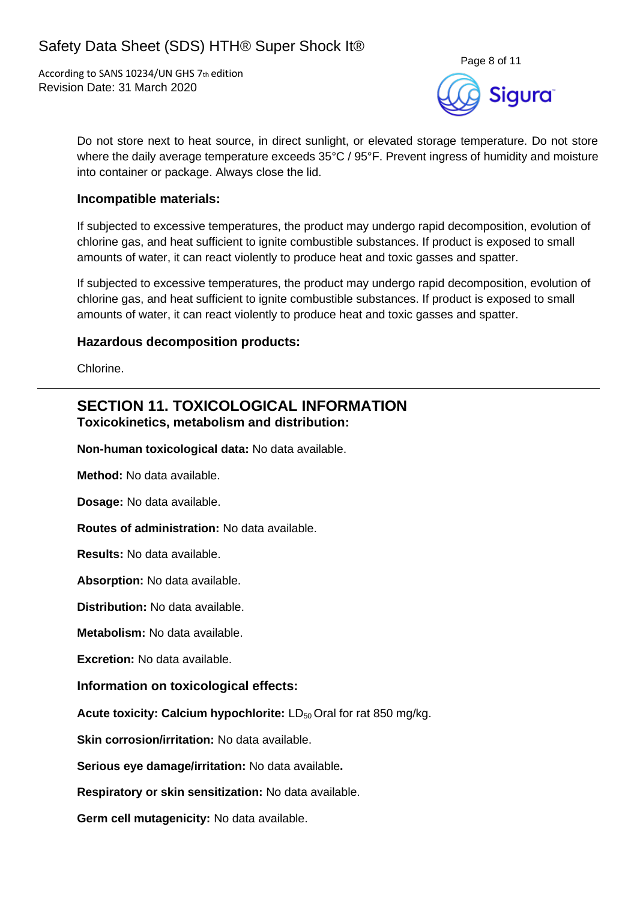

Do not store next to heat source, in direct sunlight, or elevated storage temperature. Do not store where the daily average temperature exceeds 35°C / 95°F. Prevent ingress of humidity and moisture into container or package. Always close the lid.

#### **Incompatible materials:**

If subjected to excessive temperatures, the product may undergo rapid decomposition, evolution of chlorine gas, and heat sufficient to ignite combustible substances. If product is exposed to small amounts of water, it can react violently to produce heat and toxic gasses and spatter.

If subjected to excessive temperatures, the product may undergo rapid decomposition, evolution of chlorine gas, and heat sufficient to ignite combustible substances. If product is exposed to small amounts of water, it can react violently to produce heat and toxic gasses and spatter.

#### **Hazardous decomposition products:**

Chlorine.

### **SECTION 11. TOXICOLOGICAL INFORMATION Toxicokinetics, metabolism and distribution:**

**Non-human toxicological data:** No data available.

**Method:** No data available.

**Dosage:** No data available.

**Routes of administration:** No data available.

**Results:** No data available.

**Absorption:** No data available.

**Distribution:** No data available.

**Metabolism:** No data available.

**Excretion:** No data available.

#### **Information on toxicological effects:**

**Acute toxicity: Calcium hypochlorite: LD<sub>50</sub> Oral for rat 850 mg/kg.** 

**Skin corrosion/irritation:** No data available.

**Serious eye damage/irritation:** No data available**.**

**Respiratory or skin sensitization:** No data available.

**Germ cell mutagenicity:** No data available.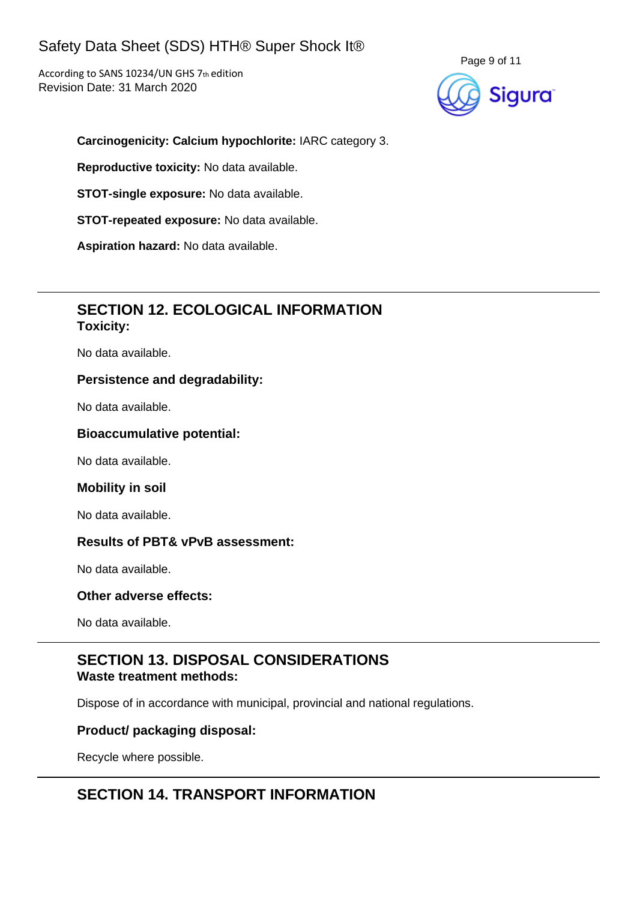According to SANS 10234/UN GHS 7th edition Revision Date: 31 March 2020



#### **Carcinogenicity: Calcium hypochlorite:** IARC category 3.

**Reproductive toxicity:** No data available.

**STOT-single exposure:** No data available.

**STOT-repeated exposure:** No data available.

**Aspiration hazard:** No data available.

## **SECTION 12. ECOLOGICAL INFORMATION Toxicity:**

No data available.

#### **Persistence and degradability:**

No data available.

#### **Bioaccumulative potential:**

No data available.

#### **Mobility in soil**

No data available.

#### **Results of PBT& vPvB assessment:**

No data available.

#### **Other adverse effects:**

No data available.

## **SECTION 13. DISPOSAL CONSIDERATIONS Waste treatment methods:**

Dispose of in accordance with municipal, provincial and national regulations.

#### **Product/ packaging disposal:**

Recycle where possible.

## **SECTION 14. TRANSPORT INFORMATION**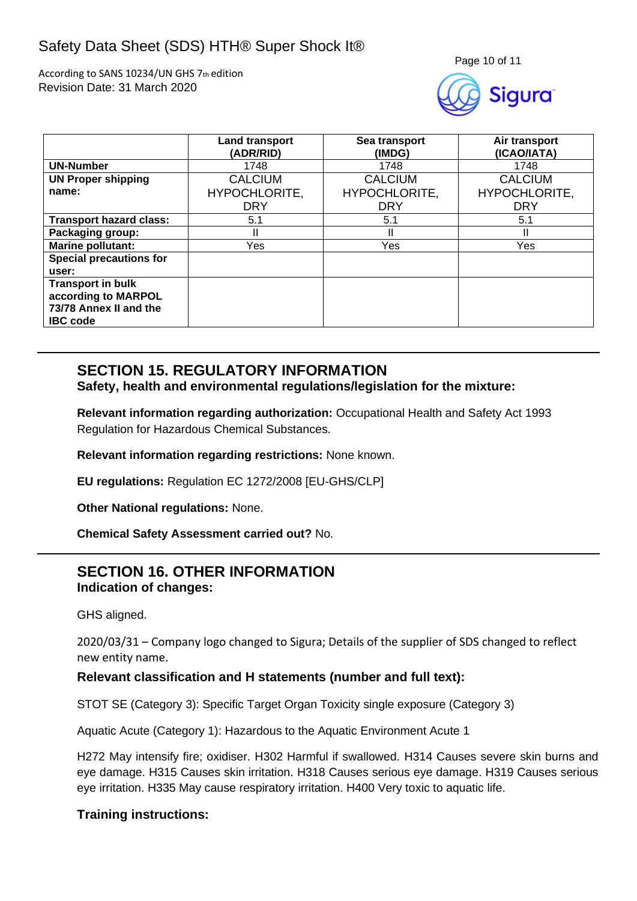According to SANS 10234/UN GHS 7th edition Revision Date: 31 March 2020



|                                | <b>Land transport</b><br>(ADR/RID) | Sea transport<br>(IMDG) | Air transport<br>(ICAO/IATA) |
|--------------------------------|------------------------------------|-------------------------|------------------------------|
| <b>UN-Number</b>               | 1748                               | 1748                    | 1748                         |
| <b>UN Proper shipping</b>      | <b>CALCIUM</b>                     | <b>CALCIUM</b>          | <b>CALCIUM</b>               |
| name:                          | HYPOCHLORITE,                      | HYPOCHLORITE,           | HYPOCHLORITE,                |
|                                | <b>DRY</b>                         | <b>DRY</b>              | <b>DRY</b>                   |
| <b>Transport hazard class:</b> | 5.1                                | 5.1                     | 5.1                          |
| Packaging group:               | Ш                                  |                         | Ш                            |
| <b>Marine pollutant:</b>       | Yes                                | Yes                     | Yes                          |
| <b>Special precautions for</b> |                                    |                         |                              |
| user:                          |                                    |                         |                              |
| <b>Transport in bulk</b>       |                                    |                         |                              |
| according to MARPOL            |                                    |                         |                              |
| 73/78 Annex II and the         |                                    |                         |                              |
| <b>IBC</b> code                |                                    |                         |                              |

# **SECTION 15. REGULATORY INFORMATION**

#### **Safety, health and environmental regulations/legislation for the mixture:**

**Relevant information regarding authorization:** Occupational Health and Safety Act 1993 Regulation for Hazardous Chemical Substances.

**Relevant information regarding restrictions:** None known.

**EU regulations:** Regulation EC 1272/2008 [EU-GHS/CLP]

**Other National regulations:** None.

**Chemical Safety Assessment carried out?** No.

## **SECTION 16. OTHER INFORMATION Indication of changes:**

GHS aligned.

2020/03/31 – Company logo changed to Sigura; Details of the supplier of SDS changed to reflect new entity name.

#### **Relevant classification and H statements (number and full text):**

STOT SE (Category 3): Specific Target Organ Toxicity single exposure (Category 3)

Aquatic Acute (Category 1): Hazardous to the Aquatic Environment Acute 1

H272 May intensify fire; oxidiser. H302 Harmful if swallowed. H314 Causes severe skin burns and eye damage. H315 Causes skin irritation. H318 Causes serious eye damage. H319 Causes serious eye irritation. H335 May cause respiratory irritation. H400 Very toxic to aquatic life.

#### **Training instructions:**